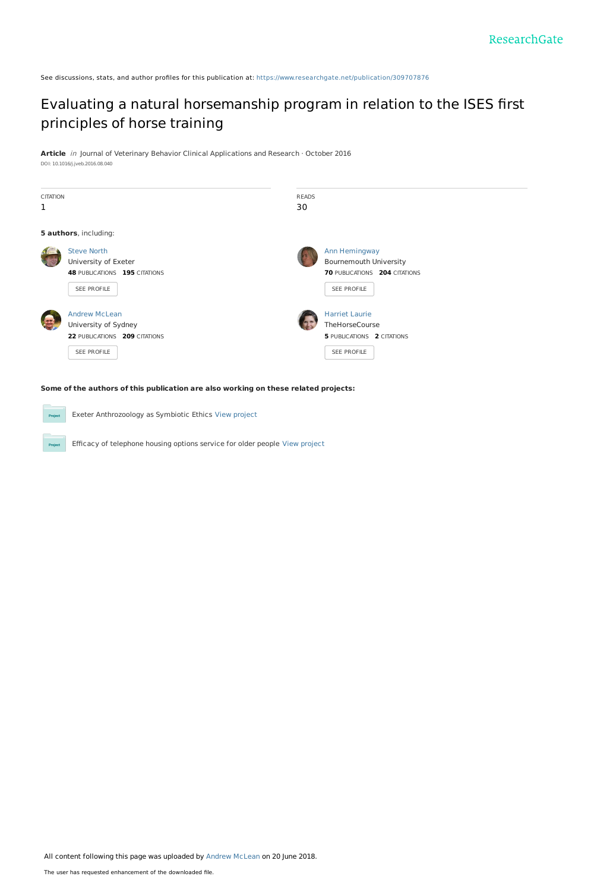See discussions, stats, and author profiles for this publication at: [https://www.researchgate.net/publication/309707876](https://www.researchgate.net/publication/309707876_Evaluating_a_natural_horsemanship_program_in_relation_to_the_ISES_first_principles_of_horse_training?enrichId=rgreq-3a24576527cab5f0f6dc58c6ae9a1d9e-XXX&enrichSource=Y292ZXJQYWdlOzMwOTcwNzg3NjtBUzo2Mzk0MDc4MTYxODc5MDRAMTUyOTQ1ODExMTM3OA%3D%3D&el=1_x_2&_esc=publicationCoverPdf)

# Evaluating a natural [horsemanship](https://www.researchgate.net/publication/309707876_Evaluating_a_natural_horsemanship_program_in_relation_to_the_ISES_first_principles_of_horse_training?enrichId=rgreq-3a24576527cab5f0f6dc58c6ae9a1d9e-XXX&enrichSource=Y292ZXJQYWdlOzMwOTcwNzg3NjtBUzo2Mzk0MDc4MTYxODc5MDRAMTUyOTQ1ODExMTM3OA%3D%3D&el=1_x_3&_esc=publicationCoverPdf) program in relation to the ISES first principles of horse training

**Article** in Journal of Veterinary Behavior Clinical Applications and Research · October 2016 DOI: 10.1016/j.jveb.2016.08.040

| <b>CITATION</b>       |                                      | <b>READS</b> |                                   |
|-----------------------|--------------------------------------|--------------|-----------------------------------|
| 1                     |                                      | 30           |                                   |
|                       |                                      |              |                                   |
| 5 authors, including: |                                      |              |                                   |
|                       | <b>Steve North</b>                   |              | Ann Hemingway                     |
|                       | University of Exeter                 |              | <b>Bournemouth University</b>     |
|                       | <b>48 PUBLICATIONS 195 CITATIONS</b> |              | 70 PUBLICATIONS 204 CITATIONS     |
|                       | SEE PROFILE                          |              | SEE PROFILE                       |
|                       |                                      |              |                                   |
|                       | <b>Andrew McLean</b>                 |              | <b>Harriet Laurie</b>             |
|                       | University of Sydney                 |              | TheHorseCourse                    |
|                       | 22 PUBLICATIONS 209 CITATIONS        |              | <b>5 PUBLICATIONS 2 CITATIONS</b> |
|                       | SEE PROFILE                          |              | SEE PROFILE                       |
|                       |                                      |              |                                   |
|                       |                                      |              |                                   |

## **Some of the authors of this publication are also working on these related projects:**

Exeter Anthrozoology as Symbiotic Ethics View [project](https://www.researchgate.net/project/Exeter-Anthrozoology-as-Symbiotic-Ethics?enrichId=rgreq-3a24576527cab5f0f6dc58c6ae9a1d9e-XXX&enrichSource=Y292ZXJQYWdlOzMwOTcwNzg3NjtBUzo2Mzk0MDc4MTYxODc5MDRAMTUyOTQ1ODExMTM3OA%3D%3D&el=1_x_9&_esc=publicationCoverPdf)  $P_{\text{rc}}$ Efficacy of telephone housing options service for older people View [project](https://www.researchgate.net/project/Efficacy-of-telephone-housing-options-service-for-older-people?enrichId=rgreq-3a24576527cab5f0f6dc58c6ae9a1d9e-XXX&enrichSource=Y292ZXJQYWdlOzMwOTcwNzg3NjtBUzo2Mzk0MDc4MTYxODc5MDRAMTUyOTQ1ODExMTM3OA%3D%3D&el=1_x_9&_esc=publicationCoverPdf)

All content following this page was uploaded by Andrew [McLean](https://www.researchgate.net/profile/Andrew_Mclean20?enrichId=rgreq-3a24576527cab5f0f6dc58c6ae9a1d9e-XXX&enrichSource=Y292ZXJQYWdlOzMwOTcwNzg3NjtBUzo2Mzk0MDc4MTYxODc5MDRAMTUyOTQ1ODExMTM3OA%3D%3D&el=1_x_10&_esc=publicationCoverPdf) on 20 June 2018.